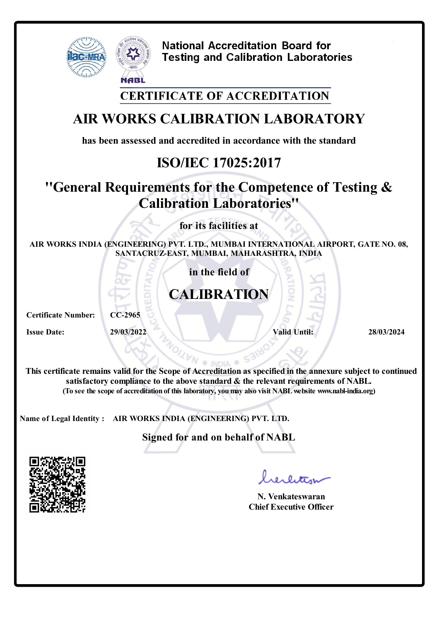

#### **CERTIFICATE OF ACCREDITATION**

# **AIR WORKS CALIBRATION LABORATORY**

**has been assessed and accredited in accordance with the standard**

# **ISO/IEC 17025:2017**

# **''General Requirements for the Competence of Testing & Calibration Laboratories''**

**for its facilities at**

**AIR WORKS INDIA (ENGINEERING) PVT. LTD., MUMBAI INTERNATIONAL AIRPORT, GATE NO. 08, SANTACRUZ-EAST, MUMBAI, MAHARASHTRA, INDIA**

**in the field of**

# **CALIBRATION**

**Certificate Number: CC-2965**

**Issue Date: 29/03/2022 Valid Until: 28/03/2024**

**This certificate remains valid forthe Scope of Accreditation as specified in the annexure subject to continued satisfactory compliance to the above standard & the relevant requirements of NABL. (To see the scope of accreditation of this laboratory, youmay also visit NABLwebsite www.nabl-india.org)**

**Name of Legal Identity : AIR WORKS INDIA (ENGINEERING) PVT. LTD.**

**Signed for and on behalf of NABL**



**N. Venkateswaran Chief Executive Officer**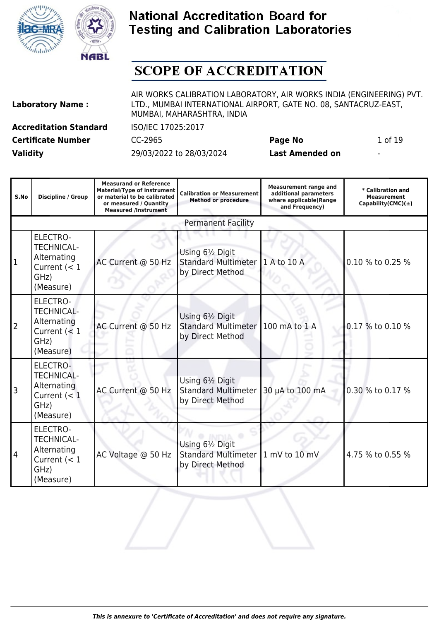



# **SCOPE OF ACCREDITATION**

| <b>Laboratory Name:</b> |  |
|-------------------------|--|
|                         |  |

AIR WORKS CALIBRATION LABORATORY, AIR WORKS INDIA (ENGINEERING) PVT. LTD., MUMBAI INTERNATIONAL AIRPORT, GATE NO. 08, SANTACRUZ-EAST, MUMBAI, MAHARASHTRA, INDIA

**Accreditation Standard** ISO/IEC 17025:2017 **Certificate Number** CC-2965 **Page No** 1 of 19

| S.No           | Discipline / Group                                                                         | <b>Measurand or Reference</b><br><b>Material/Type of instrument</b><br>or material to be calibrated<br>or measured / Quantity<br><b>Measured /Instrument</b> | <b>Calibration or Measurement</b><br><b>Method or procedure</b>    | <b>Measurement range and</b><br>additional parameters<br>where applicable(Range<br>and Frequency) | * Calibration and<br><b>Measurement</b><br>Capability(CMC) $(\pm)$ |
|----------------|--------------------------------------------------------------------------------------------|--------------------------------------------------------------------------------------------------------------------------------------------------------------|--------------------------------------------------------------------|---------------------------------------------------------------------------------------------------|--------------------------------------------------------------------|
|                |                                                                                            |                                                                                                                                                              | <b>Permanent Facility</b>                                          |                                                                                                   |                                                                    |
| $\overline{1}$ | ELECTRO-<br><b>TECHNICAL-</b><br>Alternating<br>Current $(< 1$<br>GHz)<br>(Measure)        | AC Current @ 50 Hz                                                                                                                                           | Using 61/2 Digit<br><b>Standard Multimeter</b><br>by Direct Method | 1 A to 10 A                                                                                       | 0.10 % to 0.25 %                                                   |
| $\overline{2}$ | <b>ELECTRO-</b><br><b>TECHNICAL-</b><br>Alternating<br>Current $(< 1$<br>GHz)<br>(Measure) | AC Current @ 50 Hz                                                                                                                                           | Using 61/2 Digit<br><b>Standard Multimeter</b><br>by Direct Method | 100 mA to 1 A                                                                                     | 0.17 % to 0.10 %                                                   |
| 3              | ELECTRO-<br><b>TECHNICAL-</b><br>Alternating<br>Current $(< 1$<br>GHz)<br>(Measure)        | AC Current @ 50 Hz                                                                                                                                           | Using 61/2 Digit<br><b>Standard Multimeter</b><br>by Direct Method | 30 µA to 100 mA                                                                                   | 0.30 % to 0.17 %                                                   |
| 4              | <b>ELECTRO-</b><br><b>TECHNICAL-</b><br>Alternating<br>Current $(< 1$<br>GHz)<br>(Measure) | AC Voltage @ 50 Hz                                                                                                                                           | Using 61/2 Digit<br><b>Standard Multimeter</b><br>by Direct Method | 1 mV to 10 mV                                                                                     | 4.75 % to 0.55 %                                                   |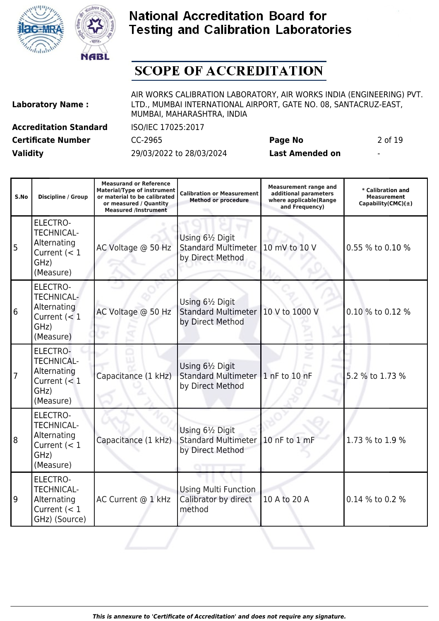



# **SCOPE OF ACCREDITATION**

| <b>Laboratory Name:</b> |  |  |
|-------------------------|--|--|
|                         |  |  |

AIR WORKS CALIBRATION LABORATORY, AIR WORKS INDIA (ENGINEERING) PVT. LTD., MUMBAI INTERNATIONAL AIRPORT, GATE NO. 08, SANTACRUZ-EAST, MUMBAI, MAHARASHTRA, INDIA

**Certificate Number** CC-2965 **Page No** 2 of 19

┱

**Accreditation Standard** ISO/IEC 17025:2017

**Measurand or Reference**

**Validity** 29/03/2022 to 28/03/2024 **Last Amended on** -

┱

| S.No | <b>Discipline / Group</b>                                                                  | measurand or <b>kererence</b><br><b>Material/Type of instrument</b><br>or material to be calibrated<br>or measured / Quantity<br><b>Measured /Instrument</b> | <b>Calibration or Measurement</b><br><b>Method or procedure</b>    | <b>Measurement range and</b><br>additional parameters<br>where applicable(Range<br>and Frequency) | * Calibration and<br><b>Measurement</b><br>Capability(CMC) $(\pm)$ |
|------|--------------------------------------------------------------------------------------------|--------------------------------------------------------------------------------------------------------------------------------------------------------------|--------------------------------------------------------------------|---------------------------------------------------------------------------------------------------|--------------------------------------------------------------------|
| 5    | ELECTRO-<br><b>TECHNICAL-</b><br>Alternating<br>Current $(< 1$<br>GHz)<br>(Measure)        | AC Voltage @ 50 Hz                                                                                                                                           | Using 61/2 Digit<br><b>Standard Multimeter</b><br>by Direct Method | 10 mV to 10 V                                                                                     | 0.55 % to 0.10 %                                                   |
| 6    | ELECTRO-<br><b>TECHNICAL-</b><br>Alternating<br>Current $(< 1$<br>GHz)<br>(Measure)        | AC Voltage @ 50 Hz                                                                                                                                           | Using 61/2 Digit<br><b>Standard Multimeter</b><br>by Direct Method | 10 V to 1000 V                                                                                    | 0.10 % to 0.12 %                                                   |
| 7    | ELECTRO-<br><b>TECHNICAL-</b><br>Alternating<br>Current (< 1<br>GHz)<br>(Measure)          | Capacitance (1 kHz)                                                                                                                                          | Using 61/2 Digit<br><b>Standard Multimeter</b><br>by Direct Method | 1 nF to 10 nF                                                                                     | 5.2 % to 1.73 %                                                    |
| 8    | <b>ELECTRO-</b><br><b>TECHNICAL-</b><br>Alternating<br>Current $(< 1$<br>GHz)<br>(Measure) | Capacitance (1 kHz)                                                                                                                                          | Using 61/2 Digit<br><b>Standard Multimeter</b><br>by Direct Method | 10 nF to 1 mF                                                                                     | 1.73 % to 1.9 %                                                    |
| 9    | ELECTRO-<br><b>TECHNICAL-</b><br>Alternating<br>Current $(< 1$<br>GHz) (Source)            | AC Current @ 1 kHz                                                                                                                                           | Using Multi Function<br>Calibrator by direct<br>method             | 10 A to 20 A                                                                                      | 0.14 % to 0.2 %                                                    |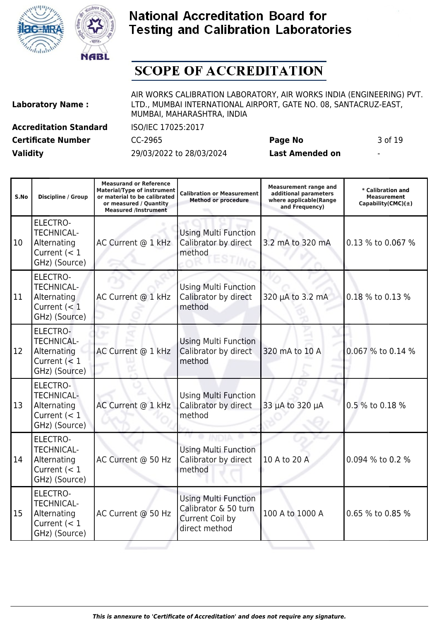



# **SCOPE OF ACCREDITATION**

| <b>Laboratory Name:</b> |  |
|-------------------------|--|
|                         |  |

AIR WORKS CALIBRATION LABORATORY, AIR WORKS INDIA (ENGINEERING) PVT. LTD., MUMBAI INTERNATIONAL AIRPORT, GATE NO. 08, SANTACRUZ-EAST, MUMBAI, MAHARASHTRA, INDIA

**Certificate Number** CC-2965 **Page No** 3 of 19

**Accreditation Standard** ISO/IEC 17025:2017

| S.No | <b>Discipline / Group</b>                                                              | <b>Measurand or Reference</b><br><b>Material/Type of instrument</b><br>or material to be calibrated<br>or measured / Quantity<br><b>Measured /Instrument</b> | <b>Calibration or Measurement</b><br><b>Method or procedure</b>                         | <b>Measurement range and</b><br>additional parameters<br>where applicable(Range<br>and Frequency) | * Calibration and<br><b>Measurement</b><br>Capability(CMC) $(\pm)$ |
|------|----------------------------------------------------------------------------------------|--------------------------------------------------------------------------------------------------------------------------------------------------------------|-----------------------------------------------------------------------------------------|---------------------------------------------------------------------------------------------------|--------------------------------------------------------------------|
| 10   | <b>ELECTRO-</b><br><b>TECHNICAL-</b><br>Alternating<br>Current $(< 1$<br>GHz) (Source) | AC Current @ 1 kHz                                                                                                                                           | <b>Using Multi Function</b><br>Calibrator by direct<br>method                           | 3.2 mA to 320 mA                                                                                  | 0.13 % to 0.067 %                                                  |
| 11   | <b>ELECTRO-</b><br><b>TECHNICAL-</b><br>Alternating<br>Current $(< 1$<br>GHz) (Source) | AC Current @ 1 kHz                                                                                                                                           | <b>Using Multi Function</b><br>Calibrator by direct<br>method                           | 320 µA to 3.2 mA                                                                                  | 0.18 % to 0.13 %                                                   |
| 12   | ELECTRO-<br><b>TECHNICAL-</b><br>Alternating<br>Current $(< 1$<br>GHz) (Source)        | AC Current @ 1 kHz                                                                                                                                           | <b>Using Multi Function</b><br>Calibrator by direct<br>method                           | 320 mA to 10 A                                                                                    | 0.067 % to 0.14 %                                                  |
| 13   | <b>ELECTRO-</b><br><b>TECHNICAL-</b><br>Alternating<br>Current $(< 1$<br>GHz) (Source) | AC Current @ 1 kHz                                                                                                                                           | <b>Using Multi Function</b><br>Calibrator by direct<br>method                           | 33 µA to 320 µA                                                                                   | 0.5 % to 0.18 %                                                    |
| 14   | ELECTRO-<br><b>TECHNICAL-</b><br>Alternating<br>Current $(< 1$<br>GHz) (Source)        | AC Current @ 50 Hz                                                                                                                                           | <b>Using Multi Function</b><br>Calibrator by direct<br>method                           | 10 A to 20 A                                                                                      | 0.094 % to 0.2 %                                                   |
| 15   | ELECTRO-<br><b>TECHNICAL-</b><br>Alternating<br>Current $(< 1$<br>GHz) (Source)        | AC Current @ 50 Hz                                                                                                                                           | <b>Using Multi Function</b><br>Calibrator & 50 turn<br>Current Coil by<br>direct method | 100 A to 1000 A                                                                                   | 0.65 % to 0.85 %                                                   |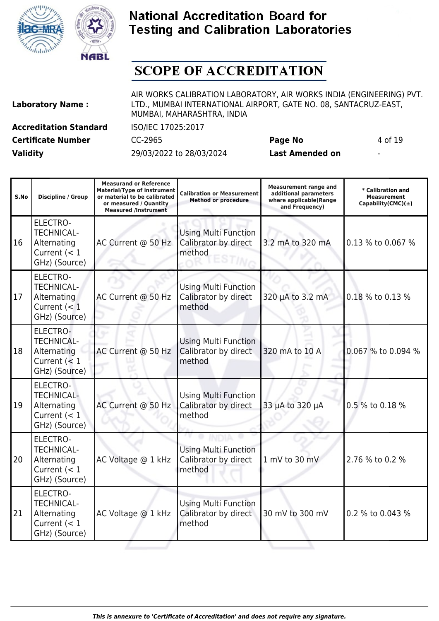



# **SCOPE OF ACCREDITATION**

| <b>Laboratory Name:</b> |  |
|-------------------------|--|
|                         |  |

AIR WORKS CALIBRATION LABORATORY, AIR WORKS INDIA (ENGINEERING) PVT. LTD., MUMBAI INTERNATIONAL AIRPORT, GATE NO. 08, SANTACRUZ-EAST, MUMBAI, MAHARASHTRA, INDIA

**Certificate Number** CC-2965 **Page No** 4 of 19

**Accreditation Standard** ISO/IEC 17025:2017

| ı | × |
|---|---|
|   |   |

| S.No | <b>Discipline / Group</b>                                                              | <b>Measurand or Reference</b><br><b>Material/Type of instrument</b><br>or material to be calibrated<br>or measured / Ouantity<br><b>Measured /Instrument</b> | <b>Calibration or Measurement</b><br><b>Method or procedure</b> | <b>Measurement range and</b><br>additional parameters<br>where applicable(Range<br>and Frequency) | * Calibration and<br>Measurement<br>Capability(CMC) $(\pm)$ |
|------|----------------------------------------------------------------------------------------|--------------------------------------------------------------------------------------------------------------------------------------------------------------|-----------------------------------------------------------------|---------------------------------------------------------------------------------------------------|-------------------------------------------------------------|
| 16   | ELECTRO-<br><b>TECHNICAL-</b><br>Alternating<br>Current $(< 1$<br>GHz) (Source)        | AC Current @ 50 Hz                                                                                                                                           | <b>Using Multi Function</b><br>Calibrator by direct<br>method   | 3.2 mA to 320 mA                                                                                  | 0.13 % to 0.067 %                                           |
| 17   | <b>ELECTRO-</b><br><b>TECHNICAL-</b><br>Alternating<br>Current $(< 1$<br>GHz) (Source) | AC Current @ 50 Hz                                                                                                                                           | <b>Using Multi Function</b><br>Calibrator by direct<br>method   | 320 µA to 3.2 mA                                                                                  | 0.18 % to 0.13 %                                            |
| 18   | ELECTRO-<br><b>TECHNICAL-</b><br>Alternating<br>Current $(< 1$<br>GHz) (Source)        | AC Current @ 50 Hz                                                                                                                                           | <b>Using Multi Function</b><br>Calibrator by direct<br>method   | 320 mA to 10 A                                                                                    | 0.067 % to 0.094 %                                          |
| 19   | ELECTRO-<br><b>TECHNICAL-</b><br>Alternating<br>Current $(< 1$<br>GHz) (Source)        | AC Current @ 50 Hz                                                                                                                                           | <b>Using Multi Function</b><br>Calibrator by direct<br>method   | 33 µA to 320 µA                                                                                   | 0.5 % to 0.18 %                                             |
| 20   | <b>ELECTRO-</b><br><b>TECHNICAL-</b><br>Alternating<br>Current $(< 1$<br>GHz) (Source) | AC Voltage @ 1 kHz                                                                                                                                           | <b>Using Multi Function</b><br>Calibrator by direct<br>method   | 1 mV to 30 mV                                                                                     | 2.76 % to 0.2 %                                             |
| 21   | <b>ELECTRO-</b><br><b>TECHNICAL-</b><br>Alternating<br>Current $(< 1$<br>GHz) (Source) | AC Voltage @ 1 kHz                                                                                                                                           | <b>Using Multi Function</b><br>Calibrator by direct<br>method   | 30 mV to 300 mV                                                                                   | 0.2 % to 0.043 %                                            |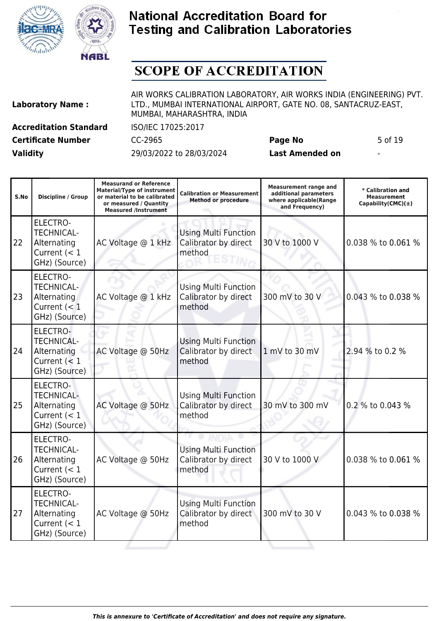



# **SCOPE OF ACCREDITATION**

| <b>Laboratory Name:</b> |  |
|-------------------------|--|
|                         |  |

AIR WORKS CALIBRATION LABORATORY, AIR WORKS INDIA (ENGINEERING) PVT. LTD., MUMBAI INTERNATIONAL AIRPORT, GATE NO. 08, SANTACRUZ-EAST, MUMBAI, MAHARASHTRA, INDIA

**Certificate Number** CC-2965 **Page No** 5 of 19

**Accreditation Standard** ISO/IEC 17025:2017

| S.No | <b>Discipline / Group</b>                                                              | <b>Measurand or Reference</b><br><b>Material/Type of instrument</b><br>or material to be calibrated<br>or measured / Quantity<br><b>Measured /Instrument</b> | <b>Calibration or Measurement</b><br><b>Method or procedure</b> | <b>Measurement range and</b><br>additional parameters<br>where applicable(Range<br>and Frequency) | * Calibration and<br><b>Measurement</b><br>Capability(CMC) $(\pm)$ |
|------|----------------------------------------------------------------------------------------|--------------------------------------------------------------------------------------------------------------------------------------------------------------|-----------------------------------------------------------------|---------------------------------------------------------------------------------------------------|--------------------------------------------------------------------|
| 22   | <b>ELECTRO-</b><br><b>TECHNICAL-</b><br>Alternating<br>Current $(< 1$<br>GHz) (Source) | AC Voltage @ 1 kHz                                                                                                                                           | <b>Using Multi Function</b><br>Calibrator by direct<br>method   | 30 V to 1000 V                                                                                    | 0.038 % to 0.061 %                                                 |
| 23   | ELECTRO-<br><b>TECHNICAL-</b><br>Alternating<br>Current $(< 1$<br>GHz) (Source)        | AC Voltage @ 1 kHz                                                                                                                                           | <b>Using Multi Function</b><br>Calibrator by direct<br>method   | 300 mV to 30 V                                                                                    | 0.043 % to 0.038 %                                                 |
| 24   | ELECTRO-<br><b>TECHNICAL-</b><br>Alternating<br>Current $(< 1$<br>GHz) (Source)        | AC Voltage @ 50Hz                                                                                                                                            | <b>Using Multi Function</b><br>Calibrator by direct<br>method   | 1 mV to 30 mV                                                                                     | 2.94 % to 0.2 %                                                    |
| 25   | ELECTRO-<br><b>TECHNICAL-</b><br>Alternating<br>Current $(< 1$<br>GHz) (Source)        | AC Voltage @ 50Hz                                                                                                                                            | <b>Using Multi Function</b><br>Calibrator by direct<br>method   | 30 mV to 300 mV                                                                                   | 0.2 % to 0.043 %                                                   |
| 26   | <b>ELECTRO-</b><br><b>TECHNICAL-</b><br>Alternating<br>Current $(< 1$<br>GHz) (Source) | AC Voltage @ 50Hz                                                                                                                                            | <b>Using Multi Function</b><br>Calibrator by direct<br>method   | 30 V to 1000 V                                                                                    | 0.038 % to 0.061 %                                                 |
| 27   | ELECTRO-<br><b>TECHNICAL-</b><br>Alternating<br>Current $(< 1$<br>GHz) (Source)        | AC Voltage @ 50Hz                                                                                                                                            | <b>Using Multi Function</b><br>Calibrator by direct<br>method   | 300 mV to 30 V                                                                                    | 0.043 % to 0.038 %                                                 |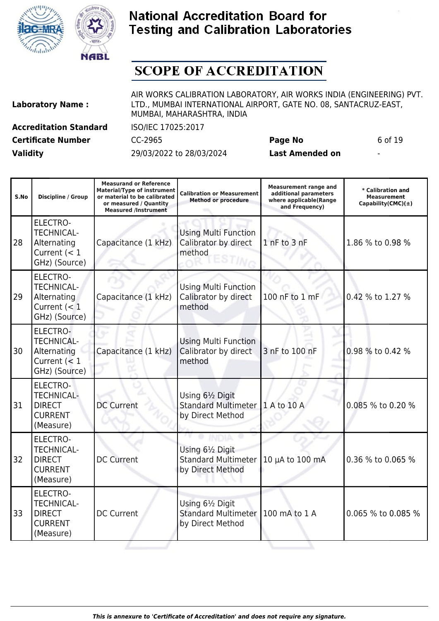



# **SCOPE OF ACCREDITATION**

| <b>Laboratory Name:</b> |  |  |
|-------------------------|--|--|
|                         |  |  |

AIR WORKS CALIBRATION LABORATORY, AIR WORKS INDIA (ENGINEERING) PVT. LTD., MUMBAI INTERNATIONAL AIRPORT, GATE NO. 08, SANTACRUZ-EAST, MUMBAI, MAHARASHTRA, INDIA

**Certificate Number** CC-2965 **Page No** 6 of 19

**Accreditation Standard** ISO/IEC 17025:2017

| S.No | <b>Discipline / Group</b>                                                              | <b>Measurand or Reference</b><br><b>Material/Type of instrument</b><br>or material to be calibrated<br>or measured / Quantity<br><b>Measured /Instrument</b> | <b>Calibration or Measurement</b><br><b>Method or procedure</b>                       | <b>Measurement range and</b><br>additional parameters<br>where applicable(Range<br>and Frequency) |                    |
|------|----------------------------------------------------------------------------------------|--------------------------------------------------------------------------------------------------------------------------------------------------------------|---------------------------------------------------------------------------------------|---------------------------------------------------------------------------------------------------|--------------------|
| 28   | <b>ELECTRO-</b><br><b>TECHNICAL-</b><br>Alternating<br>Current $(< 1$<br>GHz) (Source) | Capacitance (1 kHz)                                                                                                                                          | <b>Using Multi Function</b><br>Calibrator by direct<br>method                         | 1 nF to 3 nF                                                                                      |                    |
| 29   | <b>ELECTRO-</b><br><b>TECHNICAL-</b><br>Alternating<br>Current $(< 1$<br>GHz) (Source) | Capacitance (1 kHz)                                                                                                                                          | <b>Using Multi Function</b><br>Calibrator by direct<br>method                         | 100 nF to 1 mF<br>0.42 % to 1.27 %                                                                |                    |
| 30   | ELECTRO-<br><b>TECHNICAL-</b><br>Alternating<br>Current $(< 1$<br>GHz) (Source)        | Capacitance (1 kHz)                                                                                                                                          | <b>Using Multi Function</b><br>Calibrator by direct<br>3 nF to 100 nF<br>method       |                                                                                                   | 0.98 % to 0.42 %   |
| 31   | <b>ELECTRO-</b><br><b>TECHNICAL-</b><br><b>DIRECT</b><br><b>CURRENT</b><br>(Measure)   | <b>DC Current</b>                                                                                                                                            | Using 61/2 Digit<br><b>Standard Multimeter</b><br>by Direct Method                    | 1 A to 10 A                                                                                       | 0.085 % to 0.20 %  |
| 32   | <b>ELECTRO-</b><br><b>TECHNICAL-</b><br><b>DIRECT</b><br><b>CURRENT</b><br>(Measure)   | <b>DC Current</b>                                                                                                                                            | Using 61/2 Digit<br><b>Standard Multimeter</b><br>10 µA to 100 mA<br>by Direct Method |                                                                                                   | 0.36 % to 0.065 %  |
| 33   | <b>ELECTRO-</b><br><b>TECHNICAL-</b><br><b>DIRECT</b><br><b>CURRENT</b><br>(Measure)   | <b>DC Current</b>                                                                                                                                            | Using 61/2 Digit<br><b>Standard Multimeter</b><br>100 mA to 1 A<br>by Direct Method   |                                                                                                   | 0.065 % to 0.085 % |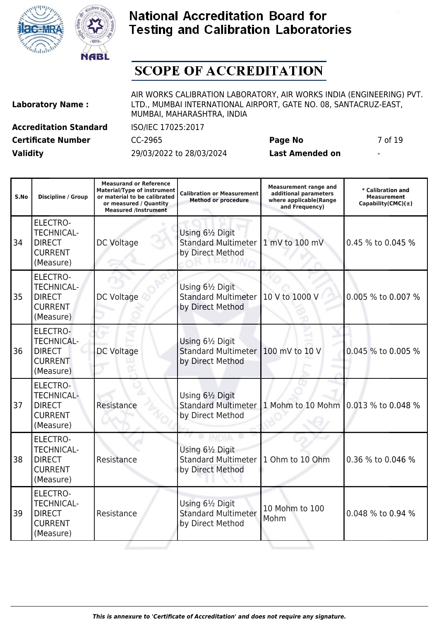



# **SCOPE OF ACCREDITATION**

| <b>Laboratory Name:</b> |  |
|-------------------------|--|
|                         |  |

AIR WORKS CALIBRATION LABORATORY, AIR WORKS INDIA (ENGINEERING) PVT. LTD., MUMBAI INTERNATIONAL AIRPORT, GATE NO. 08, SANTACRUZ-EAST, MUMBAI, MAHARASHTRA, INDIA

**Accreditation Standard** ISO/IEC 17025:2017 **Certificate Number** CC-2965 **Page No** 7 of 19

| S.No | <b>Discipline / Group</b>                                                            | <b>Measurand or Reference</b><br><b>Material/Type of instrument</b><br>or material to be calibrated<br>or measured / Quantity<br><b>Measured /Instrument</b> | <b>Measurement range and</b><br><b>Calibration or Measurement</b><br>additional parameters<br><b>Method or procedure</b><br>where applicable(Range<br>and Frequency) |                                      | * Calibration and<br>Measurement<br>Capability(CMC) $(\pm)$ |
|------|--------------------------------------------------------------------------------------|--------------------------------------------------------------------------------------------------------------------------------------------------------------|----------------------------------------------------------------------------------------------------------------------------------------------------------------------|--------------------------------------|-------------------------------------------------------------|
| 34   | <b>ELECTRO-</b><br><b>TECHNICAL-</b><br><b>DIRECT</b><br><b>CURRENT</b><br>(Measure) | <b>DC Voltage</b>                                                                                                                                            | Using 61/2 Digit<br><b>Standard Multimeter</b><br>1 mV to 100 mV<br>by Direct Method                                                                                 |                                      | 0.45 % to 0.045 %                                           |
| 35   | ELECTRO-<br><b>TECHNICAL-</b><br><b>DIRECT</b><br><b>CURRENT</b><br>(Measure)        | DC Voltage                                                                                                                                                   | Using 61/2 Digit<br><b>Standard Multimeter</b><br>by Direct Method                                                                                                   | 10 V to 1000 V                       |                                                             |
| 36   | <b>ELECTRO-</b><br><b>TECHNICAL-</b><br><b>DIRECT</b><br><b>CURRENT</b><br>(Measure) | <b>DC Voltage</b>                                                                                                                                            | Using 61/2 Digit<br><b>Standard Multimeter</b><br>by Direct Method                                                                                                   | 100 mV to 10 V<br>0.045 % to 0.005 % |                                                             |
| 37   | <b>ELECTRO-</b><br><b>TECHNICAL-</b><br><b>DIRECT</b><br><b>CURRENT</b><br>(Measure) | Resistance                                                                                                                                                   | Using 61/2 Digit<br><b>Standard Multimeter</b><br>by Direct Method                                                                                                   | 1 Mohm to 10 Mohm 0.013 % to 0.048 % |                                                             |
| 38   | ELECTRO-<br><b>TECHNICAL-</b><br><b>DIRECT</b><br><b>CURRENT</b><br>(Measure)        | Resistance                                                                                                                                                   | Using 61/2 Digit<br><b>Standard Multimeter</b><br>by Direct Method                                                                                                   | 1 Ohm to 10 Ohm<br>0.36 % to 0.046 % |                                                             |
| 39   | <b>ELECTRO-</b><br><b>TECHNICAL-</b><br><b>DIRECT</b><br><b>CURRENT</b><br>(Measure) | Resistance                                                                                                                                                   | Using 61/2 Digit<br>10 Mohm to 100<br><b>Standard Multimeter</b><br>Mohm<br>by Direct Method                                                                         |                                      | 0.048 % to 0.94 %                                           |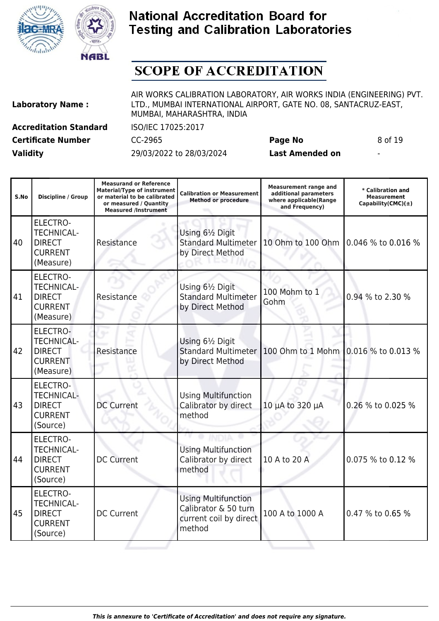



# **SCOPE OF ACCREDITATION**

| <b>Laboratory Name:</b> |  |  |
|-------------------------|--|--|
|                         |  |  |

(Source)

AIR WORKS CALIBRATION LABORATORY, AIR WORKS INDIA (ENGINEERING) PVT. LTD., MUMBAI INTERNATIONAL AIRPORT, GATE NO. 08, SANTACRUZ-EAST, MUMBAI, MAHARASHTRA, INDIA

**Accreditation Standard** ISO/IEC 17025:2017 **Certificate Number** CC-2965 **Page No** 8 of 19

| S.No | Discipline / Group                                                                  | <b>Measurand or Reference</b><br><b>Material/Type of instrument</b><br>or material to be calibrated<br>or measured / Quantity<br><b>Measured /Instrument</b> | <b>Calibration or Measurement</b><br><b>Method or procedure</b>                                           | <b>Measurement range and</b><br>additional parameters<br>where applicable(Range<br>and Frequency) | * Calibration and<br><b>Measurement</b><br>Capability(CMC) $(\pm)$ |
|------|-------------------------------------------------------------------------------------|--------------------------------------------------------------------------------------------------------------------------------------------------------------|-----------------------------------------------------------------------------------------------------------|---------------------------------------------------------------------------------------------------|--------------------------------------------------------------------|
| 40   | ELECTRO-<br><b>TECHNICAL-</b><br><b>DIRECT</b><br><b>CURRENT</b><br>(Measure)       | Resistance                                                                                                                                                   | Using 61/2 Digit<br><b>Standard Multimeter</b><br>by Direct Method                                        | 10 Ohm to 100 Ohm                                                                                 | 0.046 % to 0.016 %                                                 |
| 41   | ELECTRO-<br><b>TECHNICAL-</b><br><b>DIRECT</b><br><b>CURRENT</b><br>(Measure)       | Resistance                                                                                                                                                   | Using 61/2 Digit<br><b>Standard Multimeter</b><br>by Direct Method                                        | 100 Mohm to 1<br>0.94 % to 2.30 %<br>Gohm                                                         |                                                                    |
| 42   | ELECTRO-<br><b>TECHNICAL-</b><br><b>DIRECT</b><br><b>CURRENT</b><br>(Measure)       | Resistance                                                                                                                                                   | Using 61/2 Digit<br><b>Standard Multimeter</b><br>by Direct Method                                        | 100 Ohm to 1 Mohm 0.016 % to 0.013 %                                                              |                                                                    |
| 43   | ELECTRO-<br><b>TECHNICAL-</b><br><b>DIRECT</b><br><b>CURRENT</b><br>(Source)        | <b>DC Current</b>                                                                                                                                            | <b>Using Multifunction</b><br>Calibrator by direct<br>method                                              | 10 µA to 320 µA                                                                                   | 0.26 % to 0.025 %                                                  |
| 44   | <b>ELECTRO-</b><br><b>TECHNICAL-</b><br><b>DIRECT</b><br><b>CURRENT</b><br>(Source) | <b>DC Current</b>                                                                                                                                            | <b>Using Multifunction</b><br>Calibrator by direct<br>method                                              | 10 A to 20 A<br>0.075 % to 0.12 %                                                                 |                                                                    |
| 45   | <b>ELECTRO-</b><br><b>TECHNICAL-</b><br><b>DIRECT</b><br><b>CURRENT</b>             | <b>DC Current</b>                                                                                                                                            | <b>Using Multifunction</b><br>Calibrator & 50 turn<br>100 A to 1000 A<br>current coil by direct<br>method |                                                                                                   | 0.47 % to 0.65 %                                                   |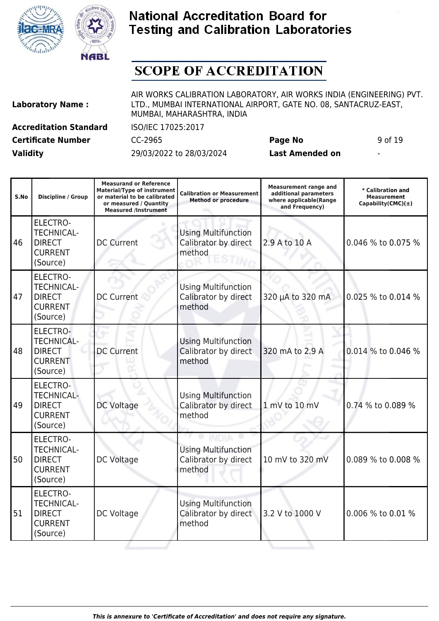



# **SCOPE OF ACCREDITATION**

| <b>Laboratory Name:</b> |  |
|-------------------------|--|
|                         |  |

AIR WORKS CALIBRATION LABORATORY, AIR WORKS INDIA (ENGINEERING) PVT. LTD., MUMBAI INTERNATIONAL AIRPORT, GATE NO. 08, SANTACRUZ-EAST, MUMBAI, MAHARASHTRA, INDIA

**Accreditation Standard** ISO/IEC 17025:2017 **Certificate Number** CC-2965 **Page No** 9 of 19

| S.No | <b>Discipline / Group</b>                                                           | <b>Measurand or Reference</b><br><b>Material/Type of instrument</b><br>or material to be calibrated<br>or measured / Quantity<br><b>Measured /Instrument</b> | <b>Calibration or Measurement</b><br><b>Method or procedure</b>                 | <b>Measurement range and</b><br>additional parameters<br>where applicable(Range<br>and Frequency) | * Calibration and<br><b>Measurement</b><br>Capability(CMC) $(\pm)$ |
|------|-------------------------------------------------------------------------------------|--------------------------------------------------------------------------------------------------------------------------------------------------------------|---------------------------------------------------------------------------------|---------------------------------------------------------------------------------------------------|--------------------------------------------------------------------|
| 46   | <b>ELECTRO-</b><br><b>TECHNICAL-</b><br><b>DIRECT</b><br><b>CURRENT</b><br>(Source) | <b>DC Current</b>                                                                                                                                            | <b>Using Multifunction</b><br>Calibrator by direct<br>2.9 A to 10 A<br>method   |                                                                                                   | 0.046 % to 0.075 %                                                 |
| 47   | <b>ELECTRO-</b><br><b>TECHNICAL-</b><br><b>DIRECT</b><br><b>CURRENT</b><br>(Source) | <b>DC Current</b>                                                                                                                                            | <b>Using Multifunction</b><br>Calibrator by direct<br>method                    | 320 µA to 320 mA                                                                                  |                                                                    |
| 48   | ELECTRO-<br><b>TECHNICAL-</b><br><b>DIRECT</b><br><b>CURRENT</b><br>(Source)        | <b>DC Current</b>                                                                                                                                            | <b>Using Multifunction</b><br>Calibrator by direct<br>320 mA to 2.9 A<br>method |                                                                                                   | 0.014 % to 0.046 %                                                 |
| 49   | <b>ELECTRO-</b><br><b>TECHNICAL-</b><br><b>DIRECT</b><br><b>CURRENT</b><br>(Source) | DC Voltage                                                                                                                                                   | <b>Using Multifunction</b><br>Calibrator by direct<br>method                    | 1 mV to 10 mV                                                                                     | 0.74 % to 0.089 %                                                  |
| 50   | <b>ELECTRO-</b><br><b>TECHNICAL-</b><br><b>DIRECT</b><br><b>CURRENT</b><br>(Source) | DC Voltage                                                                                                                                                   | <b>Using Multifunction</b><br>Calibrator by direct<br>method                    | 10 mV to 320 mV                                                                                   | 0.089 % to 0.008 %                                                 |
| 51   | <b>ELECTRO-</b><br><b>TECHNICAL-</b><br><b>DIRECT</b><br><b>CURRENT</b><br>(Source) | DC Voltage                                                                                                                                                   | <b>Using Multifunction</b><br>Calibrator by direct<br>3.2 V to 1000 V<br>method |                                                                                                   | 0.006 % to 0.01 %                                                  |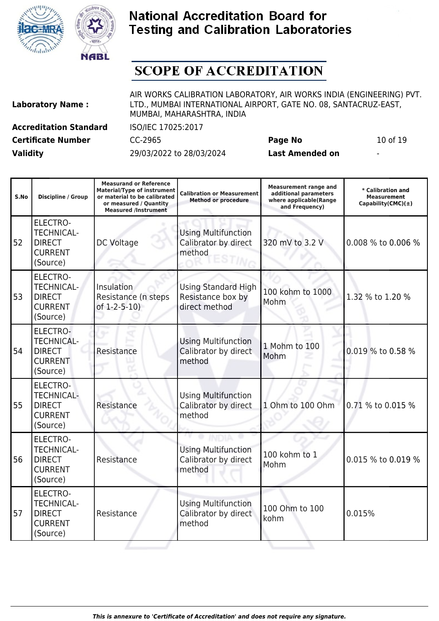



# **SCOPE OF ACCREDITATION**

| <b>Laboratory Name:</b> |                               |  |
|-------------------------|-------------------------------|--|
|                         | <b>Accreditation Standard</b> |  |
|                         |                               |  |

AIR WORKS CALIBRATION LABORATORY, AIR WORKS INDIA (ENGINEERING) PVT. LTD., MUMBAI INTERNATIONAL AIRPORT, GATE NO. 08, SANTACRUZ-EAST, MUMBAI, MAHARASHTRA, INDIA

**Accreditation Standard** ISO/IEC 17025:2017

**Validity** 29/03/2022 to 28/03/2024 **Last Amended on** -

**Certificate Number** CC-2965 **Page No** 10 of 19

| S.No | Discipline / Group                                                                  | <b>Measurand or Reference</b><br><b>Material/Type of instrument</b><br>or material to be calibrated<br>or measured / Quantity<br><b>Measured /Instrument</b> | <b>Calibration or Measurement</b><br><b>Method or procedure</b>  | <b>Measurement range and</b><br>additional parameters<br>where applicable(Range<br>and Frequency) | * Calibration and<br>Measurement<br>Capability(CMC) $(\pm)$ |
|------|-------------------------------------------------------------------------------------|--------------------------------------------------------------------------------------------------------------------------------------------------------------|------------------------------------------------------------------|---------------------------------------------------------------------------------------------------|-------------------------------------------------------------|
| 52   | <b>ELECTRO-</b><br><b>TECHNICAL-</b><br><b>DIRECT</b><br><b>CURRENT</b><br>(Source) | <b>DC Voltage</b>                                                                                                                                            | <b>Using Multifunction</b><br>Calibrator by direct<br>method     | 320 mV to 3.2 V                                                                                   |                                                             |
| 53   | ELECTRO-<br><b>TECHNICAL-</b><br><b>DIRECT</b><br><b>CURRENT</b><br>(Source)        | <b>Insulation</b><br>Resistance (n steps<br>of $1-2-5-10$ )                                                                                                  | <b>Using Standard High</b><br>Resistance box by<br>direct method | 100 kohm to 1000<br>Mohm                                                                          |                                                             |
| 54   | ELECTRO-<br><b>TECHNICAL-</b><br><b>DIRECT</b><br><b>CURRENT</b><br>(Source)        | Resistance                                                                                                                                                   | <b>Using Multifunction</b><br>Calibrator by direct<br>method     | 1 Mohm to 100<br>Mohm                                                                             | 0.019 % to 0.58 %                                           |
| 55   | <b>ELECTRO-</b><br><b>TECHNICAL-</b><br><b>DIRECT</b><br><b>CURRENT</b><br>(Source) | Resistance                                                                                                                                                   | <b>Using Multifunction</b><br>Calibrator by direct<br>method     | 1 Ohm to 100 Ohm                                                                                  | 0.71 % to 0.015 %                                           |
| 56   | ELECTRO-<br><b>TECHNICAL-</b><br><b>DIRECT</b><br><b>CURRENT</b><br>(Source)        | Resistance                                                                                                                                                   | <b>Using Multifunction</b><br>Calibrator by direct<br>method     | 100 kohm to 1<br>Mohm                                                                             | 0.015 % to 0.019 %                                          |
| 57   | <b>ELECTRO-</b><br><b>TECHNICAL-</b><br><b>DIRECT</b><br><b>CURRENT</b><br>(Source) | Resistance                                                                                                                                                   | <b>Using Multifunction</b><br>Calibrator by direct<br>method     | 100 Ohm to 100<br>kohm                                                                            | 0.015%                                                      |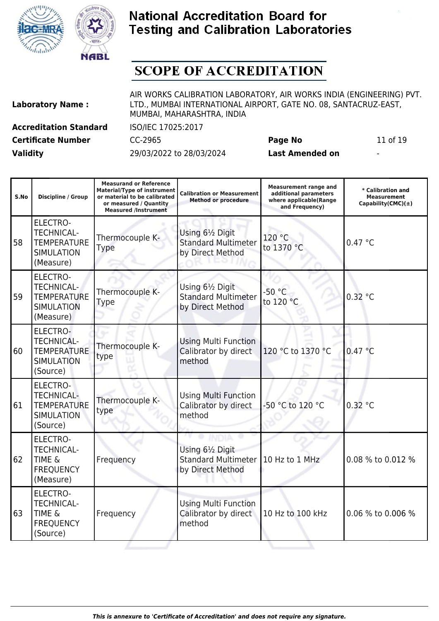



## **SCOPE OF ACCREDITATION**

| <b>Laboratory Name:</b> |  |  |
|-------------------------|--|--|
|                         |  |  |

AIR WORKS CALIBRATION LABORATORY, AIR WORKS INDIA (ENGINEERING) PVT. LTD., MUMBAI INTERNATIONAL AIRPORT, GATE NO. 08, SANTACRUZ-EAST, MUMBAI, MAHARASHTRA, INDIA

**Certificate Number CC-2965 Page No** 11 of 19

63

TIME & FREQUENCY (Source)

Frequency

**Accreditation Standard** ISO/IEC 17025:2017

**Validity** 29/03/2022 to 28/03/2024 **Last Amended on** -

 $10$  Hz to 100 kHz  $0.06$  % to 0.006 %

| S.No | Discipline / Group                                                                           | <b>Measurand or Reference</b><br><b>Material/Type of instrument</b><br>or material to be calibrated<br>or measured / Quantity<br><b>Measured /Instrument</b> | <b>Calibration or Measurement</b><br><b>Method or procedure</b>    | <b>Measurement range and</b><br>additional parameters<br>where applicable(Range<br>and Frequency) | * Calibration and<br><b>Measurement</b><br>Capability(CMC) $(\pm)$ |
|------|----------------------------------------------------------------------------------------------|--------------------------------------------------------------------------------------------------------------------------------------------------------------|--------------------------------------------------------------------|---------------------------------------------------------------------------------------------------|--------------------------------------------------------------------|
| 58   | <b>ELECTRO-</b><br><b>TECHNICAL-</b><br><b>TEMPERATURE</b><br><b>SIMULATION</b><br>(Measure) | Thermocouple K-<br><b>Type</b>                                                                                                                               | Using 61/2 Digit<br><b>Standard Multimeter</b><br>by Direct Method | 120 °C<br>to 1370 °C                                                                              | 0.47 °C                                                            |
| 59   | <b>ELECTRO-</b><br><b>TECHNICAL-</b><br><b>TEMPERATURE</b><br><b>SIMULATION</b><br>(Measure) | Thermocouple K-<br><b>Type</b>                                                                                                                               | Using 61/2 Digit<br><b>Standard Multimeter</b><br>by Direct Method | $-50 °C$<br>to 120 °C                                                                             | 0.32 °C                                                            |
| 60   | ELECTRO-<br><b>TECHNICAL-</b><br><b>TEMPERATURE</b><br><b>SIMULATION</b><br>(Source)         | Thermocouple K-<br>type                                                                                                                                      | <b>Using Multi Function</b><br>Calibrator by direct<br>method      | 120 °C to 1370 °C                                                                                 | 0.47 °C                                                            |
| 61   | <b>ELECTRO-</b><br><b>TECHNICAL-</b><br><b>TEMPERATURE</b><br><b>SIMULATION</b><br>(Source)  | Thermocouple K-<br>type                                                                                                                                      | <b>Using Multi Function</b><br>Calibrator by direct<br>method      | -50 °C to 120 °C                                                                                  |                                                                    |
| 62   | <b>ELECTRO-</b><br><b>TECHNICAL-</b><br><b>TIME &amp;</b><br><b>FREQUENCY</b><br>(Measure)   | Frequency                                                                                                                                                    | Using 61/2 Digit<br><b>Standard Multimeter</b><br>by Direct Method | 10 Hz to 1 MHz                                                                                    | 0.08 % to 0.012 %                                                  |
|      | <b>ELECTRO-</b><br><b>TECHNICAL-</b>                                                         |                                                                                                                                                              | <b>Using Multi Function</b>                                        |                                                                                                   |                                                                    |

Calibrator by direct

method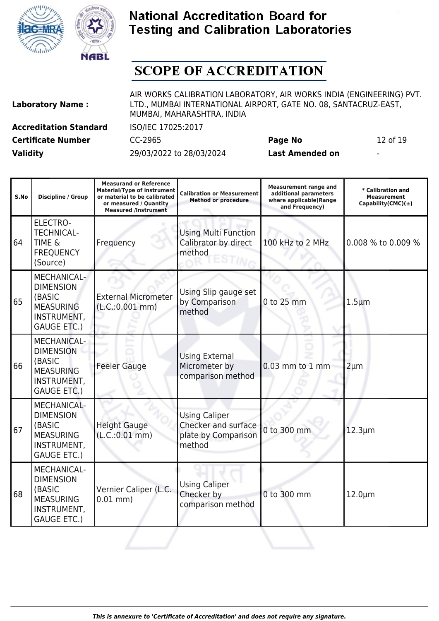



## **SCOPE OF ACCREDITATION**

| <b>Laboratory Name:</b>       |
|-------------------------------|
| <b>Accreditation Standard</b> |

AIR WORKS CALIBRATION LABORATORY, AIR WORKS INDIA (ENGINEERING) PVT. LTD., MUMBAI INTERNATIONAL AIRPORT, GATE NO. 08, SANTACRUZ-EAST, MUMBAI, MAHARASHTRA, INDIA

**Certificate Number** CC-2965 **Page No** 12 of 19 **Validity** 29/03/2022 to 28/03/2024 **Last Amended on** -

**Accreditation Standard** ISO/IEC 17025:2017

| S.No | Discipline / Group                                                                                               | <b>Measurand or Reference</b><br><b>Material/Type of instrument</b><br>or material to be calibrated<br>or measured / Quantity<br><b>Measured /Instrument</b> | <b>Calibration or Measurement</b><br><b>Method or procedure</b>              | <b>Measurement range and</b><br>additional parameters<br>where applicable(Range<br>and Frequency) | * Calibration and<br><b>Measurement</b><br>Capability(CMC) $(\pm)$ |
|------|------------------------------------------------------------------------------------------------------------------|--------------------------------------------------------------------------------------------------------------------------------------------------------------|------------------------------------------------------------------------------|---------------------------------------------------------------------------------------------------|--------------------------------------------------------------------|
| 64   | ELECTRO-<br><b>TECHNICAL-</b><br>TIME &<br><b>FREQUENCY</b><br>(Source)                                          | Frequency                                                                                                                                                    | <b>Using Multi Function</b><br>Calibrator by direct<br>method                | 100 kHz to 2 MHz                                                                                  | 0.008 % to 0.009 %                                                 |
| 65   | MECHANICAL-<br><b>DIMENSION</b><br>(BASIC<br><b>MEASURING</b><br>INSTRUMENT,<br><b>GAUGE ETC.)</b>               | <b>External Micrometer</b><br>(L.C.:0.001 mm)                                                                                                                | Using Slip gauge set<br>by Comparison<br>method                              | 0 to 25 mm                                                                                        | $1.5 \mu m$                                                        |
| 66   | <b>MECHANICAL-</b><br><b>DIMENSION</b><br>(BASIC<br><b>MEASURING</b><br>INSTRUMENT,<br><b>GAUGE ETC.)</b>        | <b>Feeler Gauge</b>                                                                                                                                          | <b>Using External</b><br>Micrometer by<br>comparison method                  | 0.03 mm to 1 mm                                                                                   | $2 \mu m$                                                          |
| 67   | <b>MECHANICAL-</b><br><b>DIMENSION</b><br>(BASIC<br><b>MEASURING</b><br><b>INSTRUMENT,</b><br><b>GAUGE ETC.)</b> | <b>Height Gauge</b><br>(L.C.:0.01 mm)                                                                                                                        | <b>Using Caliper</b><br>Checker and surface<br>plate by Comparison<br>method | 0 to 300 mm                                                                                       | $12.3 \mu m$                                                       |
| 68   | MECHANICAL-<br><b>DIMENSION</b><br>(BASIC<br><b>MEASURING</b><br>INSTRUMENT,<br><b>GAUGE ETC.)</b>               | Vernier Caliper (L.C.<br>$0.01$ mm)                                                                                                                          | <b>Using Caliper</b><br>Checker by<br>comparison method                      | 0 to 300 mm                                                                                       | $12.0 \mu m$                                                       |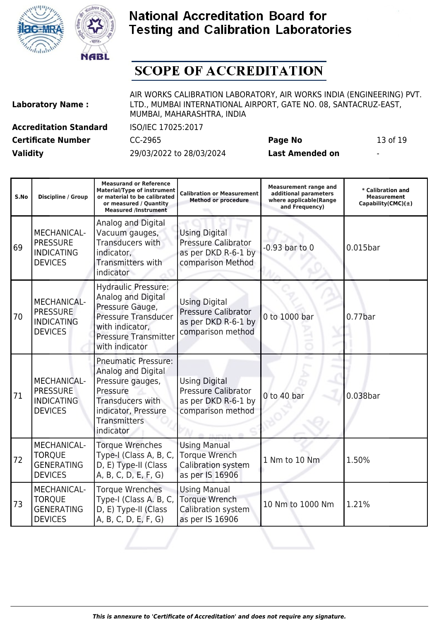



# **SCOPE OF ACCREDITATION**

| <b>Laboratory Name:</b> |  |  |
|-------------------------|--|--|
|-------------------------|--|--|

AIR WORKS CALIBRATION LABORATORY, AIR WORKS INDIA (ENGINEERING) PVT. LTD., MUMBAI INTERNATIONAL AIRPORT, GATE NO. 08, SANTACRUZ-EAST, MUMBAI, MAHARASHTRA, INDIA

**Certificate Number** CC-2965 **Page No** 13 of 19

**Accreditation Standard** ISO/IEC 17025:2017

| S.No | Discipline / Group                                                           | <b>Measurand or Reference</b><br><b>Material/Type of instrument</b><br>or material to be calibrated<br>or measured / Quantity<br><b>Measured /Instrument</b>          | <b>Calibration or Measurement</b><br><b>Method or procedure</b>                                | <b>Measurement range and</b><br>additional parameters<br>where applicable(Range<br>and Frequency) | * Calibration and<br><b>Measurement</b><br>Capability(CMC) $(\pm)$ |
|------|------------------------------------------------------------------------------|-----------------------------------------------------------------------------------------------------------------------------------------------------------------------|------------------------------------------------------------------------------------------------|---------------------------------------------------------------------------------------------------|--------------------------------------------------------------------|
| 69   | MECHANICAL-<br><b>PRESSURE</b><br><b>INDICATING</b><br><b>DEVICES</b>        | Analog and Digital<br>Vacuum gauges,<br><b>Transducers with</b><br>indicator,<br><b>Transmitters with</b><br>indicator                                                | <b>Using Digital</b><br><b>Pressure Calibrator</b><br>as per DKD R-6-1 by<br>comparison Method | $-0.93$ bar to $0$                                                                                | $0.015$ bar                                                        |
| 70   | <b>MECHANICAL-</b><br><b>PRESSURE</b><br><b>INDICATING</b><br><b>DEVICES</b> | <b>Hydraulic Pressure:</b><br>Analog and Digital<br>Pressure Gauge,<br><b>Pressure Transducer</b><br>with indicator,<br><b>Pressure Transmitter</b><br>with indicator | <b>Using Digital</b><br><b>Pressure Calibrator</b><br>as per DKD R-6-1 by<br>comparison method | 0 to 1000 bar                                                                                     | $0.77$ bar                                                         |
| 71   | MECHANICAL-<br><b>PRESSURE</b><br><b>INDICATING</b><br><b>DEVICES</b>        | <b>Pneumatic Pressure:</b><br>Analog and Digital<br>Pressure gauges,<br>Pressure<br>Transducers with<br>indicator, Pressure<br>Transmitters<br>indicator              | <b>Using Digital</b><br>Pressure Calibrator<br>as per DKD R-6-1 by<br>comparison method        | 0 to 40 bar                                                                                       | 0.038bar                                                           |
| 72   | MECHANICAL-<br><b>TORQUE</b><br><b>GENERATING</b><br><b>DEVICES</b>          | <b>Torque Wrenches</b><br>Type-I (Class A, B, C,<br>D, E) Type-II (Class<br>A, B, C, D, E, F, G)                                                                      | <b>Using Manual</b><br><b>Torque Wrench</b><br>Calibration system<br>as per IS 16906           | 1 Nm to 10 Nm                                                                                     | 1.50%                                                              |
| 73   | MECHANICAL-<br><b>TORQUE</b><br><b>GENERATING</b><br><b>DEVICES</b>          | <b>Torque Wrenches</b><br>Type-I (Class A. B, C,<br>D, E) Type-II (Class<br>A, B, C, D, E, F, G)                                                                      | <b>Using Manual</b><br><b>Torque Wrench</b><br>Calibration system<br>as per IS 16906           | 10 Nm to 1000 Nm                                                                                  | 1.21%                                                              |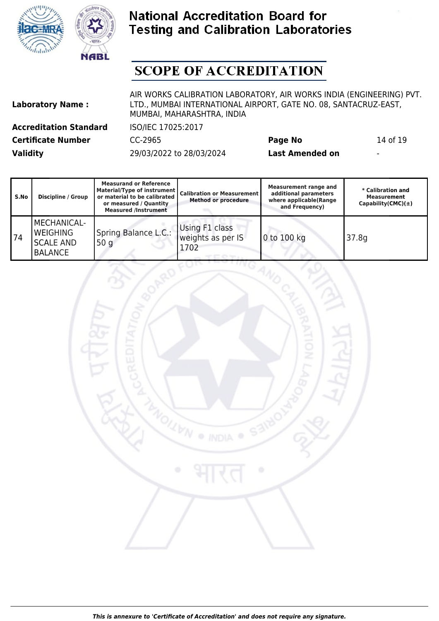



# **SCOPE OF ACCREDITATION**

**Laboratory Name :**

AIR WORKS CALIBRATION LABORATORY, AIR WORKS INDIA (ENGINEERING) PVT. LTD., MUMBAI INTERNATIONAL AIRPORT, GATE NO. 08, SANTACRUZ-EAST, MUMBAI, MAHARASHTRA, INDIA

**Certificate Number** CC-2965 **Page No** 14 of 19

**Accreditation Standard** ISO/IEC 17025:2017

| S.No | <b>Discipline / Group</b>                                                   | <b>Measurand or Reference</b><br>Material/Type of instrument<br>or material to be calibrated<br>or measured / Quantity<br><b>Measured /Instrument</b> | <b>Calibration or Measurement  </b><br><b>Method or procedure</b> | <b>Measurement range and</b><br>additional parameters<br>where applicable(Range<br>and Frequency) | * Calibration and<br><b>Measurement</b><br>Capability(CMC) $(\pm)$ |
|------|-----------------------------------------------------------------------------|-------------------------------------------------------------------------------------------------------------------------------------------------------|-------------------------------------------------------------------|---------------------------------------------------------------------------------------------------|--------------------------------------------------------------------|
| 74   | <b>MECHANICAL-</b><br><b>WEIGHING</b><br><b>SCALE AND</b><br><b>BALANCE</b> | Spring Balance L.C.:<br>50q                                                                                                                           | Using F1 class<br>weights as per IS<br>1702                       | 0 to 100 kg                                                                                       | 37.8g                                                              |

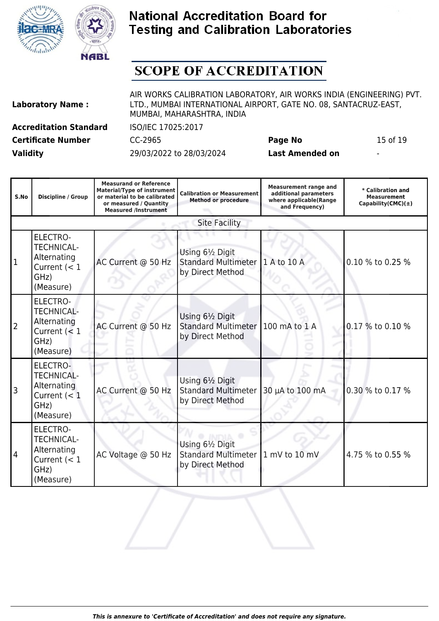



# **SCOPE OF ACCREDITATION**

| <b>Laboratory Name:</b> | LTD., MUMBAI INTERNATIONAL AIRPORT, GATE NO. 08, SANTACRUZ-EAST,<br>MUMBAI, MAHARASHTRA, INDIA |         |          |
|-------------------------|------------------------------------------------------------------------------------------------|---------|----------|
| Accreditation Standard  | ISO/IEC 17025:2017                                                                             |         |          |
| Certificate Number      | CC-2965                                                                                        | Page No | 15 of 19 |

AIR WORKS CALIBRATION LABORATORY, AIR WORKS INDIA (ENGINEERING) PVT. LTD., MUMBAI INTERNATIONAL AIRPORT, GATE NO. 08, SANTACRUZ-EAST, MUMBAI, MAHARASHTRA, INDIA

| S.No           | Discipline / Group                                                                         | <b>Measurand or Reference</b><br><b>Material/Type of instrument</b><br>or material to be calibrated<br>or measured / Quantity<br><b>Measured /Instrument</b> | <b>Calibration or Measurement</b><br><b>Method or procedure</b>    | <b>Measurement range and</b><br>additional parameters<br>where applicable(Range<br>and Frequency) | * Calibration and<br><b>Measurement</b><br>Capability(CMC) $(\pm)$ |
|----------------|--------------------------------------------------------------------------------------------|--------------------------------------------------------------------------------------------------------------------------------------------------------------|--------------------------------------------------------------------|---------------------------------------------------------------------------------------------------|--------------------------------------------------------------------|
|                |                                                                                            |                                                                                                                                                              | <b>Site Facility</b>                                               |                                                                                                   |                                                                    |
| $\overline{1}$ | <b>ELECTRO-</b><br><b>TECHNICAL-</b><br>Alternating<br>Current $(< 1$<br>GHz)<br>(Measure) | AC Current @ 50 Hz                                                                                                                                           | Using 61/2 Digit<br><b>Standard Multimeter</b><br>by Direct Method | 1 A to 10 A                                                                                       | 0.10 % to 0.25 %                                                   |
| $\overline{2}$ | <b>ELECTRO-</b><br><b>TECHNICAL-</b><br>Alternating<br>Current $(< 1$<br>GHz)<br>(Measure) | AC Current @ 50 Hz                                                                                                                                           | Using 61/2 Digit<br><b>Standard Multimeter</b><br>by Direct Method | 100 mA to 1 A                                                                                     | 0.17 % to 0.10 %                                                   |
| 3              | ELECTRO-<br><b>TECHNICAL-</b><br>Alternating<br>Current $(< 1$<br>GHz)<br>(Measure)        | AC Current @ 50 Hz                                                                                                                                           | Using 61/2 Digit<br><b>Standard Multimeter</b><br>by Direct Method | 30 µA to 100 mA                                                                                   | 0.30 % to 0.17 %                                                   |
| 4              | <b>ELECTRO-</b><br><b>TECHNICAL-</b><br>Alternating<br>Current $(< 1$<br>GHz)<br>(Measure) | AC Voltage @ 50 Hz                                                                                                                                           | Using 61/2 Digit<br><b>Standard Multimeter</b><br>by Direct Method | 1 mV to 10 mV                                                                                     | 4.75 % to 0.55 %                                                   |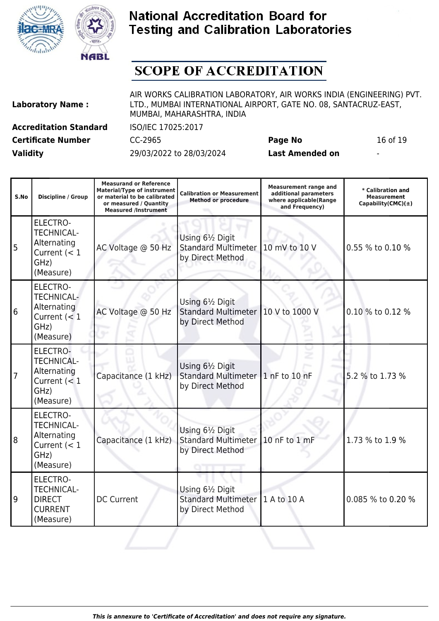



## **SCOPE OF ACCREDITATION**

| <b>Laboratory Name:</b>  |  |
|--------------------------|--|
| A conselidation Chameler |  |

AIR WORKS CALIBRATION LABORATORY, AIR WORKS INDIA (ENGINEERING) PVT. LTD., MUMBAI INTERNATIONAL AIRPORT, GATE NO. 08, SANTACRUZ-EAST, MUMBAI, MAHARASHTRA, INDIA

**Certificate Number** CC-2965 **Page No** 16 of 19 **Validity** 29/03/2022 to 28/03/2024 **Last Amended on** -

**Accreditation Standard** ISO/IEC 17025:2017

| S.No           | Discipline / Group                                                                         | <b>Measurand or Reference</b><br><b>Material/Type of instrument</b><br>or material to be calibrated<br>or measured / Quantity<br><b>Measured /Instrument</b> | <b>Calibration or Measurement</b><br><b>Method or procedure</b>    | <b>Measurement range and</b><br>additional parameters<br>where applicable(Range<br>and Frequency) | * Calibration and<br><b>Measurement</b><br>Capability(CMC) $(\pm)$ |
|----------------|--------------------------------------------------------------------------------------------|--------------------------------------------------------------------------------------------------------------------------------------------------------------|--------------------------------------------------------------------|---------------------------------------------------------------------------------------------------|--------------------------------------------------------------------|
| 5              | <b>ELECTRO-</b><br><b>TECHNICAL-</b><br>Alternating<br>Current $(< 1$<br>GHz)<br>(Measure) | AC Voltage @ 50 Hz                                                                                                                                           | Using 61/2 Digit<br><b>Standard Multimeter</b><br>by Direct Method | 10 mV to 10 V                                                                                     | 0.55 % to 0.10 %                                                   |
| 6              | <b>ELECTRO-</b><br><b>TECHNICAL-</b><br>Alternating<br>Current $(< 1$<br>GHz)<br>(Measure) | AC Voltage @ 50 Hz                                                                                                                                           | Using 61/2 Digit<br><b>Standard Multimeter</b><br>by Direct Method | 10 V to 1000 V                                                                                    | 0.10 % to 0.12 %                                                   |
| $\overline{7}$ | <b>ELECTRO-</b><br><b>TECHNICAL-</b><br>Alternating<br>Current $(< 1$<br>GHz)<br>(Measure) | Capacitance (1 kHz)                                                                                                                                          | Using 61/2 Digit<br><b>Standard Multimeter</b><br>by Direct Method | $1$ nF to 10 nF                                                                                   | 5.2 % to 1.73 %                                                    |
| 8              | <b>ELECTRO-</b><br><b>TECHNICAL-</b><br>Alternating<br>Current $(< 1$<br>GHz)<br>(Measure) | Capacitance (1 kHz)                                                                                                                                          | Using 61/2 Digit<br><b>Standard Multimeter</b><br>by Direct Method | 10 nF to 1 mF                                                                                     | 1.73 % to 1.9 %                                                    |
| 9              | <b>ELECTRO-</b><br><b>TECHNICAL-</b><br><b>DIRECT</b><br><b>CURRENT</b><br>(Measure)       | <b>DC Current</b>                                                                                                                                            | Using 61/2 Digit<br><b>Standard Multimeter</b><br>by Direct Method | 1 A to 10 A                                                                                       | 0.085 % to 0.20 %                                                  |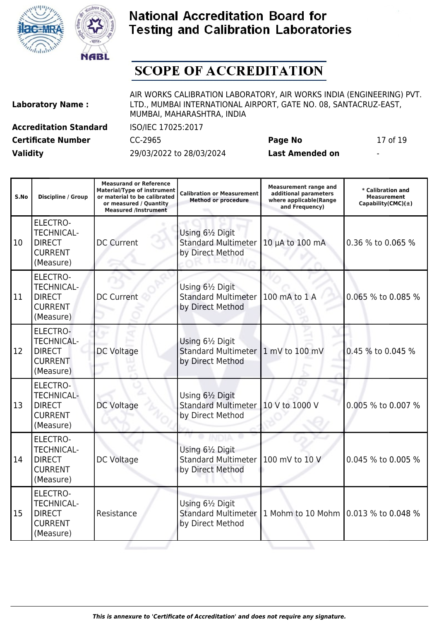

T



### **National Accreditation Board for Testing and Calibration Laboratories**

# **SCOPE OF ACCREDITATION**

| <b>Laboratory Name:</b>       |  |  |  |  |
|-------------------------------|--|--|--|--|
| <b>Accreditation Standard</b> |  |  |  |  |
| Captificate Monateer          |  |  |  |  |

AIR WORKS CALIBRATION LABORATORY, AIR WORKS INDIA (ENGINEERING) PVT. LTD., MUMBAI INTERNATIONAL AIRPORT, GATE NO. 08, SANTACRUZ-EAST, MUMBAI, MAHARASHTRA, INDIA

**Certificate Number** CC-2965 **Page No** 17 of 19

**Accreditation Standard** ISO/IEC 17025:2017

**Measurand or Reference**

**Validity** 29/03/2022 to 28/03/2024 **Last Amended on** -

Τ

| S.No | <b>Discipline / Group</b>                                                            | <b>Material/Type of instrument</b><br>or material to be calibrated<br>or measured / Quantity<br><b>Measured /Instrument</b> | <b>Calibration or Measurement</b><br><b>Method or procedure</b>    | <b>Measurement range and</b><br>additional parameters<br>where applicable(Range<br>and Frequency) | * Calibration and<br><b>Measurement</b><br>Capability(CMC) $(\pm)$ |
|------|--------------------------------------------------------------------------------------|-----------------------------------------------------------------------------------------------------------------------------|--------------------------------------------------------------------|---------------------------------------------------------------------------------------------------|--------------------------------------------------------------------|
| 10   | ELECTRO-<br><b>TECHNICAL-</b><br><b>DIRECT</b><br><b>CURRENT</b><br>(Measure)        | <b>DC Current</b>                                                                                                           | Using 61/2 Digit<br><b>Standard Multimeter</b><br>by Direct Method | 10 µA to 100 mA                                                                                   | 0.36 % to 0.065 %                                                  |
| 11   | <b>ELECTRO-</b><br><b>TECHNICAL-</b><br><b>DIRECT</b><br><b>CURRENT</b><br>(Measure) | <b>DC Current</b>                                                                                                           | Using 61/2 Digit<br><b>Standard Multimeter</b><br>by Direct Method | 100 mA to 1 A                                                                                     | 0.065 % to 0.085 %                                                 |
| 12   | ELECTRO-<br><b>TECHNICAL-</b><br><b>DIRECT</b><br><b>CURRENT</b><br>(Measure)        | <b>DC Voltage</b>                                                                                                           | Using 61/2 Digit<br><b>Standard Multimeter</b><br>by Direct Method | 1 mV to 100 mV                                                                                    | 0.45 % to 0.045 %                                                  |
| 13   | <b>ELECTRO-</b><br><b>TECHNICAL-</b><br><b>DIRECT</b><br><b>CURRENT</b><br>(Measure) | <b>DC Voltage</b>                                                                                                           | Using 61/2 Digit<br><b>Standard Multimeter</b><br>by Direct Method | 10 V to 1000 V                                                                                    | 0.005 % to 0.007 %                                                 |
| 14   | <b>ELECTRO-</b><br><b>TECHNICAL-</b><br><b>DIRECT</b><br><b>CURRENT</b><br>(Measure) | <b>DC Voltage</b>                                                                                                           | Using 61/2 Digit<br><b>Standard Multimeter</b><br>by Direct Method | 100 mV to 10 V                                                                                    | 0.045 % to 0.005 %                                                 |
| 15   | <b>ELECTRO-</b><br><b>TECHNICAL-</b><br><b>DIRECT</b><br><b>CURRENT</b><br>(Measure) | Resistance                                                                                                                  | Using 61/2 Digit<br><b>Standard Multimeter</b><br>by Direct Method | 1 Mohm to 10 Mohm 0.013 % to 0.048 %                                                              |                                                                    |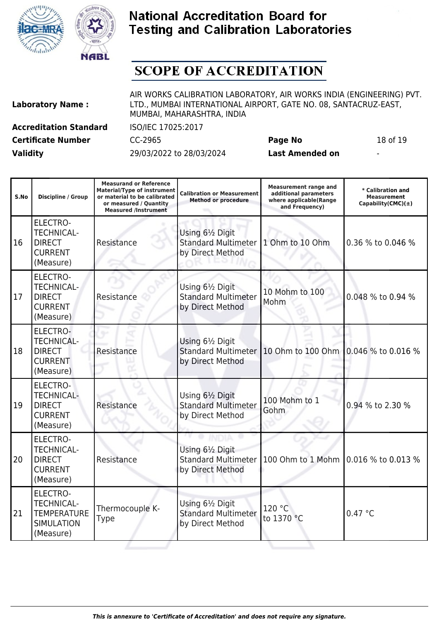



## **SCOPE OF ACCREDITATION**

| <b>Laboratory Name:</b>       |  |  |  |  |
|-------------------------------|--|--|--|--|
| <b>Accreditation Standard</b> |  |  |  |  |
| Cortificato Number            |  |  |  |  |

AIR WORKS CALIBRATION LABORATORY, AIR WORKS INDIA (ENGINEERING) PVT. LTD., MUMBAI INTERNATIONAL AIRPORT, GATE NO. 08, SANTACRUZ-EAST, MUMBAI, MAHARASHTRA, INDIA

**Certificate Number** CC-2965 **Page No** 18 of 19

**Accreditation Standard** ISO/IEC 17025:2017

| S.No | Discipline / Group                                                                    | <b>Measurand or Reference</b><br><b>Material/Type of instrument</b><br>or material to be calibrated<br>or measured / Quantity<br><b>Measured /Instrument</b> | <b>Calibration or Measurement</b><br><b>Method or procedure</b>    | <b>Measurement range and</b><br>additional parameters<br>where applicable(Range<br>and Frequency) | * Calibration and<br><b>Measurement</b><br>Capability(CMC) $(\pm)$ |
|------|---------------------------------------------------------------------------------------|--------------------------------------------------------------------------------------------------------------------------------------------------------------|--------------------------------------------------------------------|---------------------------------------------------------------------------------------------------|--------------------------------------------------------------------|
| 16   | <b>ELECTRO-</b><br><b>TECHNICAL-</b><br><b>DIRECT</b><br><b>CURRENT</b><br>(Measure)  | Resistance                                                                                                                                                   | Using 61/2 Digit<br><b>Standard Multimeter</b><br>by Direct Method | 1 Ohm to 10 Ohm                                                                                   | 0.36 % to 0.046 %                                                  |
| 17   | <b>ELECTRO-</b><br><b>TECHNICAL-</b><br><b>DIRECT</b><br><b>CURRENT</b><br>(Measure)  | Resistance                                                                                                                                                   | Using 61/2 Digit<br><b>Standard Multimeter</b><br>by Direct Method | 10 Mohm to 100<br>Mohm                                                                            | 0.048 % to 0.94 %                                                  |
| 18   | <b>ELECTRO-</b><br><b>TECHNICAL-</b><br><b>DIRECT</b><br><b>CURRENT</b><br>(Measure)  | Resistance                                                                                                                                                   | Using 61/2 Digit<br><b>Standard Multimeter</b><br>by Direct Method | 10 Ohm to 100 Ohm 0.046 % to 0.016 %                                                              |                                                                    |
| 19   | <b>ELECTRO-</b><br><b>TECHNICAL-</b><br><b>DIRECT</b><br><b>CURRENT</b><br>(Measure)  | Resistance                                                                                                                                                   | Using 61/2 Digit<br><b>Standard Multimeter</b><br>by Direct Method | 100 Mohm to 1<br>Gohm                                                                             | 0.94 % to 2.30 %                                                   |
| 20   | <b>ELECTRO-</b><br><b>TECHNICAL-</b><br><b>DIRECT</b><br><b>CURRENT</b><br>(Measure)  | Resistance                                                                                                                                                   | Using 61/2 Digit<br><b>Standard Multimeter</b><br>by Direct Method | 100 Ohm to 1 Mohm 0.016 % to 0.013 %                                                              |                                                                    |
| 21   | ELECTRO-<br><b>TECHNICAL-</b><br><b>TEMPERATURE</b><br><b>SIMULATION</b><br>(Measure) | Thermocouple K-<br><b>Type</b>                                                                                                                               | Using 61/2 Digit<br><b>Standard Multimeter</b><br>by Direct Method | 120 °C<br>to 1370 °C                                                                              | 0.47 °C                                                            |